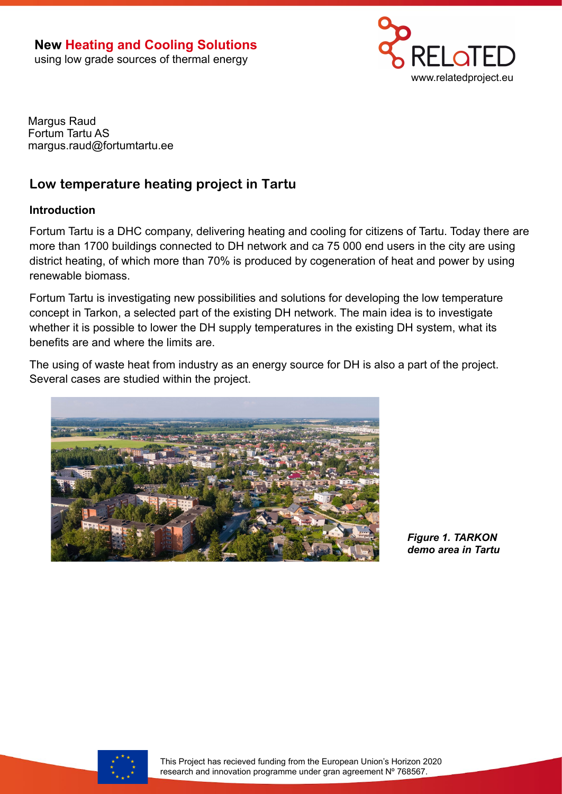

Margus Raud Fortum Tartu AS margus.raud@fortumtartu.ee

# **Low temperature heating project in Tartu**

### **Introduction**

Fortum Tartu is a DHC company, delivering heating and cooling for citizens of Tartu. Today there are more than 1700 buildings connected to DH network and ca 75 000 end users in the city are using district heating, of which more than 70% is produced by cogeneration of heat and power by using renewable biomass.

Fortum Tartu is investigating new possibilities and solutions for developing the low temperature concept in Tarkon, a selected part of the existing DH network. The main idea is to investigate whether it is possible to lower the DH supply temperatures in the existing DH system, what its benefits are and where the limits are.

The using of waste heat from industry as an energy source for DH is also a part of the project. Several cases are studied within the project.



*Figure 1. TARKON demo area in Tartu*

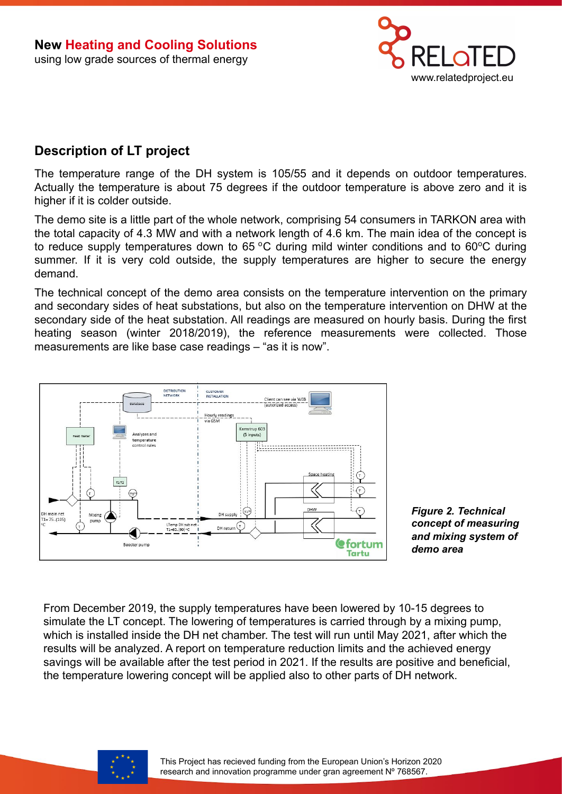

# **Description of LT project**

The temperature range of the DH system is 105/55 and it depends on outdoor temperatures. Actually the temperature is about 75 degrees if the outdoor temperature is above zero and it is higher if it is colder outside.

The demo site is a little part of the whole network, comprising 54 consumers in TARKON area with the total capacity of 4.3 MW and with a network length of 4.6 km. The main idea of the concept is to reduce supply temperatures down to 65  $\degree$ C during mild winter conditions and to 60 $\degree$ C during summer. If it is very cold outside, the supply temperatures are higher to secure the energy demand.

The technical concept of the demo area consists on the temperature intervention on the primary and secondary sides of heat substations, but also on the temperature intervention on DHW at the secondary side of the heat substation. All readings are measured on hourly basis. During the first heating season (winter 2018/2019), the reference measurements were collected. Those measurements are like base case readings – "as it is now".



*Figure 2. Technical concept of measuring and mixing system of demo area* 

From December 2019, the supply temperatures have been lowered by 10-15 degrees to simulate the LT concept. The lowering of temperatures is carried through by a mixing pump, which is installed inside the DH net chamber. The test will run until May 2021, after which the results will be analyzed. A report on temperature reduction limits and the achieved energy savings will be available after the test period in 2021. If the results are positive and beneficial, the temperature lowering concept will be applied also to other parts of DH network.